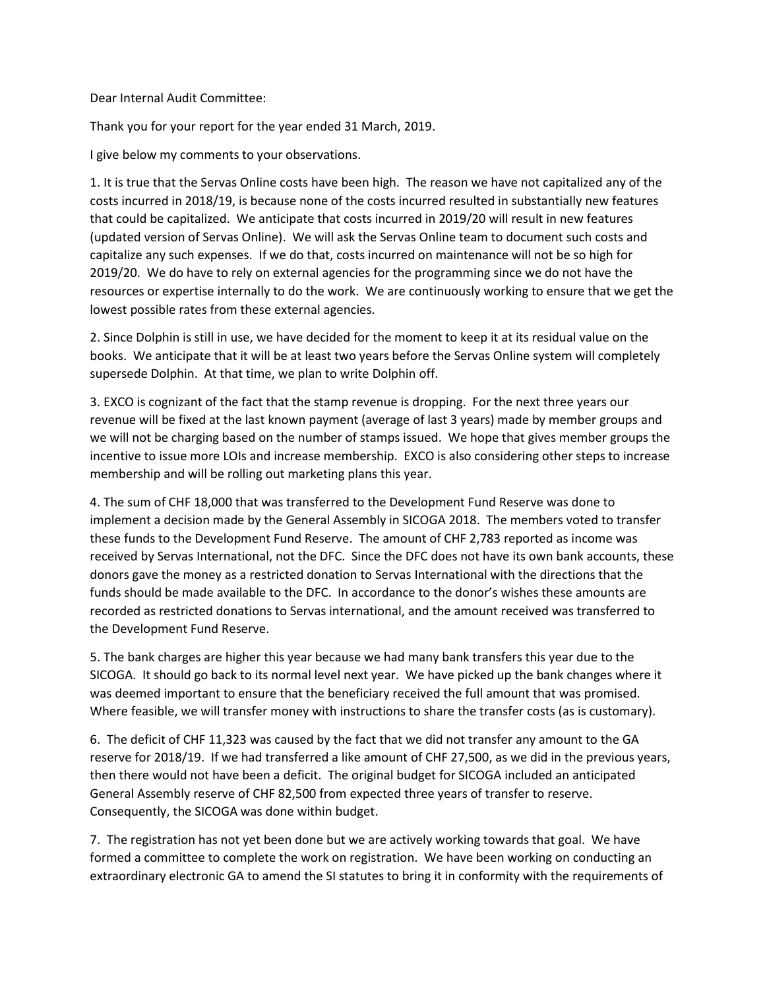Dear Internal Audit Committee:

Thank you for your report for the year ended 31 March, 2019.

I give below my comments to your observations.

1. It is true that the Servas Online costs have been high. The reason we have not capitalized any of the costs incurred in 2018/19, is because none of the costs incurred resulted in substantially new features that could be capitalized. We anticipate that costs incurred in 2019/20 will result in new features (updated version of Servas Online). We will ask the Servas Online team to document such costs and capitalize any such expenses. If we do that, costs incurred on maintenance will not be so high for 2019/20. We do have to rely on external agencies for the programming since we do not have the resources or expertise internally to do the work. We are continuously working to ensure that we get the lowest possible rates from these external agencies.

2. Since Dolphin is still in use, we have decided for the moment to keep it at its residual value on the books. We anticipate that it will be at least two years before the Servas Online system will completely supersede Dolphin. At that time, we plan to write Dolphin off.

3. EXCO is cognizant of the fact that the stamp revenue is dropping. For the next three years our revenue will be fixed at the last known payment (average of last 3 years) made by member groups and we will not be charging based on the number of stamps issued. We hope that gives member groups the incentive to issue more LOIs and increase membership. EXCO is also considering other steps to increase membership and will be rolling out marketing plans this year.

4. The sum of CHF 18,000 that was transferred to the Development Fund Reserve was done to implement a decision made by the General Assembly in SICOGA 2018. The members voted to transfer these funds to the Development Fund Reserve. The amount of CHF 2,783 reported as income was received by Servas International, not the DFC. Since the DFC does not have its own bank accounts, these donors gave the money as a restricted donation to Servas International with the directions that the funds should be made available to the DFC. In accordance to the donor's wishes these amounts are recorded as restricted donations to Servas international, and the amount received was transferred to the Development Fund Reserve.

5. The bank charges are higher this year because we had many bank transfers this year due to the SICOGA. It should go back to its normal level next year. We have picked up the bank changes where it was deemed important to ensure that the beneficiary received the full amount that was promised. Where feasible, we will transfer money with instructions to share the transfer costs (as is customary).

6. The deficit of CHF 11,323 was caused by the fact that we did not transfer any amount to the GA reserve for 2018/19. If we had transferred a like amount of CHF 27,500, as we did in the previous years, then there would not have been a deficit. The original budget for SICOGA included an anticipated General Assembly reserve of CHF 82,500 from expected three years of transfer to reserve. Consequently, the SICOGA was done within budget.

7. The registration has not yet been done but we are actively working towards that goal. We have formed a committee to complete the work on registration. We have been working on conducting an extraordinary electronic GA to amend the SI statutes to bring it in conformity with the requirements of